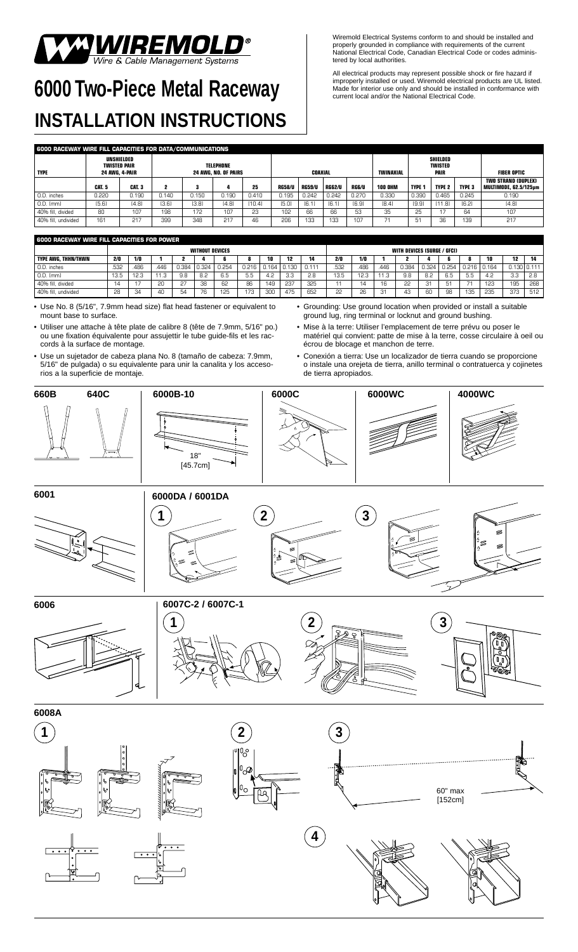## WE MOLD<sup>®</sup><br>Wire & Cable Management Systems

## **6000 Two-Piece Metal Raceway INSTALLATION INSTRUCTIONS**

Wiremold Electrical Systems conform to and should be installed and properly grounded in compliance with requirements of the current National Electrical Code, Canadian Electrical Code or codes administered by local authorities.

All electrical products may represent possible shock or fire hazard if improperly installed or used. Wiremold electrical products are UL listed. Made for interior use only and should be installed in conformance with current local and/or the National Electrical Code.

| 6000 RACEWAY WIRE FILL CAPACITIES FOR DATA/COMMUNICATIONS |                                                     |        |       |       |         |        |               |                  |                                    |              |                |                    |               |               |                                              |
|-----------------------------------------------------------|-----------------------------------------------------|--------|-------|-------|---------|--------|---------------|------------------|------------------------------------|--------------|----------------|--------------------|---------------|---------------|----------------------------------------------|
| <b>TYPE</b>                                               | UNSHIELDED<br><b>TWISTED PAIR</b><br>24 AWG. 4-PAIR |        |       |       | COAXIAL |        |               | <b>TWINAXIAL</b> | SHIELDED<br>TWISTED<br><b>PAIR</b> |              |                | <b>FIBER OPTIC</b> |               |               |                                              |
|                                                           | CAT. 5                                              | CAT. 3 |       |       |         | 25     | <b>RG58/U</b> | <b>RG59/U</b>    | <b>RG62/U</b>                      | <b>RG6/U</b> | <b>100 OHM</b> | <b>TYPE 1</b>      | <b>TYPE 2</b> | <b>TYPE 3</b> | TWO STRAND (DUPLEX)<br>MULTIMODE. 62.5/125um |
| O.D. inches                                               | 0.220                                               | 0.190  | 0.140 | 0.150 | 0.190   | 0.410  | 0.195         | 0.242            | 0.242                              | 0.270        | 0.330          | 0.390              | 0.465         | 0.245         | 0.190                                        |
| 0.D. [mm]                                                 | [5.6]                                               | [4.8]  | [3.6] | [3.8] | [4.8]   | [10.4] | [5.0]         | [6.1]            | [6.1]                              | [6.9]        | [8.4]          | [9.9]              | [11.8]        | [6.2]         | [4.8]                                        |
| 40% fill, divided                                         | 80                                                  | 107    | 198   | 172   | 107     | 23     | 102           | 66               | 66                                 | 53           | 35             | 25                 | 17            | 64            | 107                                          |
| 40% fill, undivided                                       | 161                                                 | 217    | 399   | 348   | 217     | 46     | 206           | 133              | 133                                | 107          |                | 51                 | 36            | 139           | 217                                          |

| i 6000 raceway wire fill capacities for power |                        |      |                 |       |       |       |       |       |       |       |                             |      |     |       |       |       |                 |       |               |     |
|-----------------------------------------------|------------------------|------|-----------------|-------|-------|-------|-------|-------|-------|-------|-----------------------------|------|-----|-------|-------|-------|-----------------|-------|---------------|-----|
|                                               | <b>WITHOUT DEVICES</b> |      |                 |       |       |       |       |       |       |       | WITH DEVICES (SURGE / GFCI) |      |     |       |       |       |                 |       |               |     |
| I TYPE AWG. THHN/THWN                         | 2/0                    | 1/0  |                 |       |       |       |       | 10    | 12    |       | 2/0                         | 1/0  |     |       |       |       |                 | 10    | 12            | 14  |
| 0.D. inches                                   | 532                    | .486 | .446            | 0.384 | 0.324 | 0.254 | 0.216 | 0.164 | 0.130 | 0.111 | .532                        | .486 | 446 | 0.384 | 0.324 | 0.254 | $0.216$ $\vert$ | 0.164 | 0.130   0.111 |     |
| 0.D. [mm]                                     | 13.5                   | 12.3 | 11 <sub>0</sub> | 9.8   | 8.2   | 6.5   | 5.5   | 4.2   | 3.3   | 2.8   | 13.5                        | 12.3 |     | 9.8   | 8.2   | 6.5   | 5.5             | 4.2   | 3.3           | 2.8 |
| 40% fill, divided                             | 14                     |      | 20              | 27    | ⊇ר    | 62    | 86    | 149   | 237   | 325   |                             | 14   | 16  | 22    | -31   | 51    |                 | 123   | 195           | 268 |
| 40% fill, undivided                           | 28                     | 34   | 40              | 54    |       | 125   | 173   | 300   | 475   | 652   | 22                          | 26   | 31  | 43    | 60    | 98    | 135             | 235   | 373           | 512 |

• Use No. 8 (5/16", 7.9mm head size) flat head fastener or equivalent to mount base to surface.

- Utiliser une attache à tête plate de calibre 8 (tête de 7.9mm, 5/16" po.) ou une fixation équivalente pour assujettir le tube guide-fils et les raccords à la surface de montage.
- Use un sujetador de cabeza plana No. 8 (tamaño de cabeza: 7.9mm, 5/16" de pulgada) o su equivalente para unir la canalita y los accesorios a la superficie de montaje.
- Grounding: Use ground location when provided or install a suitable ground lug, ring terminal or locknut and ground bushing.
- Mise à la terre: Utiliser l'emplacement de terre prévu ou poser le matériel qui convient: patte de mise à la terre, cosse circulaire à oeil ou écrou de blocage et manchon de terre.
- Conexión a tierra: Use un localizador de tierra cuando se proporcione o instale una orejeta de tierra, anillo terminal o contratuerca y cojinetes de tierra apropiados.